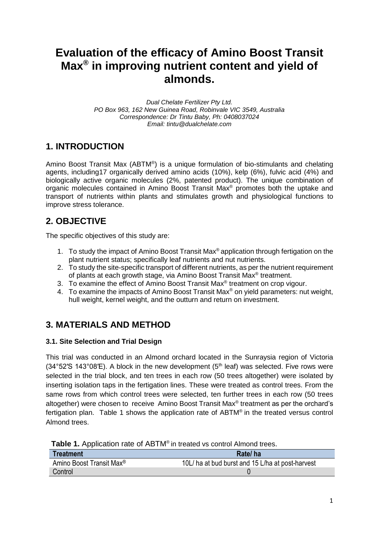# **Evaluation of the efficacy of Amino Boost Transit Max® in improving nutrient content and yield of almonds.**

*Dual Chelate Fertilizer Pty Ltd. PO Box 963, 162 New Guinea Road, Robinvale VIC 3549, Australia Correspondence: Dr Tintu Baby, Ph: 0408037024 Email: tintu@dualchelate.com*

### **1. INTRODUCTION**

Amino Boost Transit Max (ABTM®) is a unique formulation of bio-stimulants and chelating agents, including17 organically derived amino acids (10%), kelp (6%), fulvic acid (4%) and biologically active organic molecules (2%, patented product). The unique combination of organic molecules contained in Amino Boost Transit Max® promotes both the uptake and transport of nutrients within plants and stimulates growth and physiological functions to improve stress tolerance.

### **2. OBJECTIVE**

The specific objectives of this study are:

- 1. To study the impact of Amino Boost Transit Max® application through fertigation on the plant nutrient status; specifically leaf nutrients and nut nutrients.
- 2. To study the site-specific transport of different nutrients, as per the nutrient requirement of plants at each growth stage, via Amino Boost Transit Max<sup>®</sup> treatment.
- 3. To examine the effect of Amino Boost Transit Max $<sup>®</sup>$  treatment on crop vigour.</sup>
- 4. To examine the impacts of Amino Boost Transit Max® on yield parameters: nut weight, hull weight, kernel weight, and the outturn and return on investment.

### **3. MATERIALS AND METHOD**

#### **3.1. Site Selection and Trial Design**

This trial was conducted in an Almond orchard located in the Sunraysia region of Victoria  $(34°52'S 143°08'E)$ . A block in the new development  $(5<sup>th</sup>$  leaf) was selected. Five rows were selected in the trial block, and ten trees in each row (50 trees altogether) were isolated by inserting isolation taps in the fertigation lines. These were treated as control trees. From the same rows from which control trees were selected, ten further trees in each row (50 trees altogether) were chosen to receive Amino Boost Transit Max® treatment as per the orchard's fertigation plan. Table 1 shows the application rate of ABTM® in the treated versus control Almond trees.

| <b>Table 1.</b> Typingation rate of TOTIM in treated vs control Almond trees. |                                                  |
|-------------------------------------------------------------------------------|--------------------------------------------------|
| Treatment                                                                     | Rate/ha                                          |
| Amino Boost Transit Max <sup>®</sup>                                          | 10L/ ha at bud burst and 15 L/ha at post-harvest |
| Control                                                                       |                                                  |

**Table 1.** Application rate of ABTM® in treated vs control Almond trees.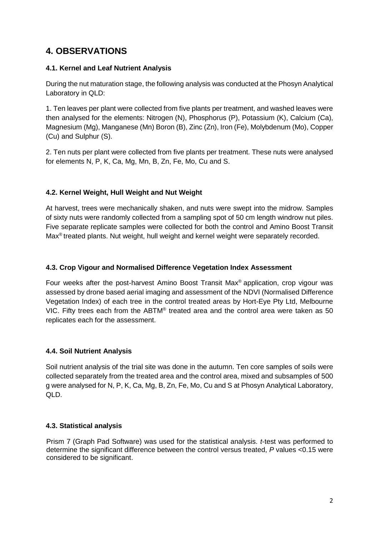### **4. OBSERVATIONS**

#### **4.1. Kernel and Leaf Nutrient Analysis**

During the nut maturation stage, the following analysis was conducted at the Phosyn Analytical Laboratory in QLD:

1. Ten leaves per plant were collected from five plants per treatment, and washed leaves were then analysed for the elements: Nitrogen (N), Phosphorus (P), Potassium (K), Calcium (Ca), Magnesium (Mg), Manganese (Mn) Boron (B), Zinc (Zn), Iron (Fe), Molybdenum (Mo), Copper (Cu) and Sulphur (S).

2. Ten nuts per plant were collected from five plants per treatment. These nuts were analysed for elements N, P, K, Ca, Mg, Mn, B, Zn, Fe, Mo, Cu and S.

#### **4.2. Kernel Weight, Hull Weight and Nut Weight**

At harvest, trees were mechanically shaken, and nuts were swept into the midrow. Samples of sixty nuts were randomly collected from a sampling spot of 50 cm length windrow nut piles. Five separate replicate samples were collected for both the control and Amino Boost Transit Max® treated plants. Nut weight, hull weight and kernel weight were separately recorded.

#### **4.3. Crop Vigour and Normalised Difference Vegetation Index Assessment**

Four weeks after the post-harvest Amino Boost Transit Max® application, crop vigour was assessed by drone based aerial imaging and assessment of the NDVI (Normalised Difference Vegetation Index) of each tree in the control treated areas by Hort-Eye Pty Ltd, Melbourne VIC. Fifty trees each from the ABTM® treated area and the control area were taken as 50 replicates each for the assessment.

#### **4.4. Soil Nutrient Analysis**

Soil nutrient analysis of the trial site was done in the autumn. Ten core samples of soils were collected separately from the treated area and the control area, mixed and subsamples of 500 g were analysed for N, P, K, Ca, Mg, B, Zn, Fe, Mo, Cu and S at Phosyn Analytical Laboratory, QLD.

#### **4.3. Statistical analysis**

Prism 7 (Graph Pad Software) was used for the statistical analysis. *t*-test was performed to determine the significant difference between the control versus treated, *P* values <0.15 were considered to be significant.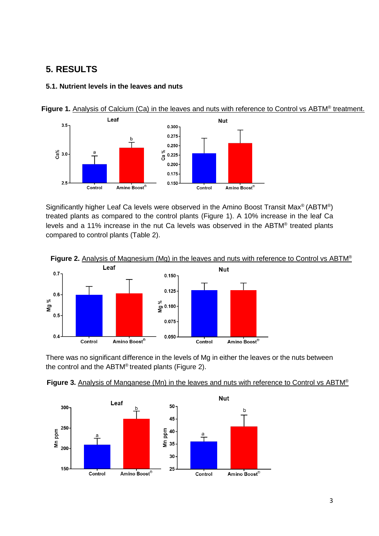### **5. RESULTS**

#### **5.1. Nutrient levels in the leaves and nuts**



Figure 1. Analysis of Calcium (Ca) in the leaves and nuts with reference to Control vs ABTM® treatment.

Significantly higher Leaf Ca levels were observed in the Amino Boost Transit Max® (ABTM®) treated plants as compared to the control plants (Figure 1). A 10% increase in the leaf Ca levels and a 11% increase in the nut Ca levels was observed in the ABTM® treated plants compared to control plants (Table 2).



There was no significant difference in the levels of Mg in either the leaves or the nuts between the control and the ABTM® treated plants (Figure 2).



#### **Figure 3.** Analysis of Manganese (Mn) in the leaves and nuts with reference to Control vs ABTM®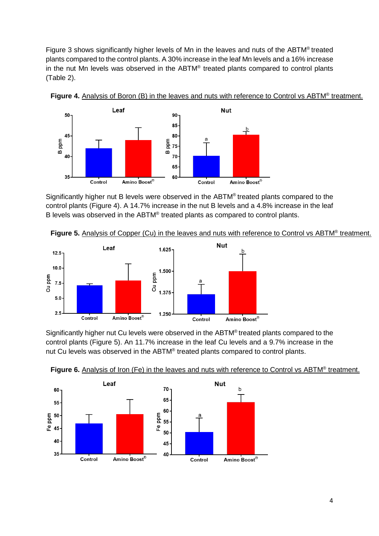Figure 3 shows significantly higher levels of Mn in the leaves and nuts of the ABTM® treated plants compared to the control plants. A 30% increase in the leaf Mn levels and a 16% increase in the nut Mn levels was observed in the ABTM® treated plants compared to control plants (Table 2).





Significantly higher nut B levels were observed in the ABTM® treated plants compared to the control plants (Figure 4). A 14.7% increase in the nut B levels and a 4.8% increase in the leaf B levels was observed in the ABTM® treated plants as compared to control plants.





Significantly higher nut Cu levels were observed in the ABTM® treated plants compared to the control plants (Figure 5). An 11.7% increase in the leaf Cu levels and a 9.7% increase in the nut Cu levels was observed in the ABTM® treated plants compared to control plants.



Figure 6. Analysis of Iron (Fe) in the leaves and nuts with reference to Control vs ABTM® treatment.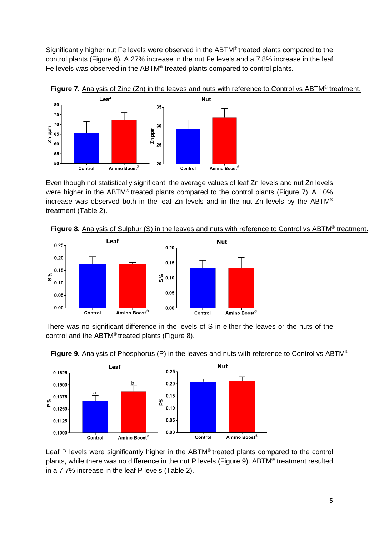Significantly higher nut Fe levels were observed in the ABTM® treated plants compared to the control plants (Figure 6). A 27% increase in the nut Fe levels and a 7.8% increase in the leaf Fe levels was observed in the ABTM® treated plants compared to control plants.



Even though not statistically significant, the average values of leaf Zn levels and nut Zn levels were higher in the ABTM® treated plants compared to the control plants (Figure 7). A 10% increase was observed both in the leaf Zn levels and in the nut Zn levels by the ABTM® treatment (Table 2).





There was no significant difference in the levels of S in either the leaves or the nuts of the control and the ABTM® treated plants (Figure 8).





Leaf P levels were significantly higher in the ABTM<sup>®</sup> treated plants compared to the control plants, while there was no difference in the nut P levels (Figure 9). ABTM® treatment resulted in a 7.7% increase in the leaf P levels (Table 2).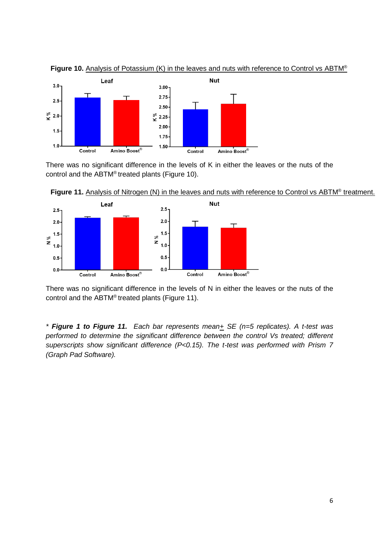

**Figure 10.** Analysis of Potassium (K) in the leaves and nuts with reference to Control vs ABTM®

There was no significant difference in the levels of K in either the leaves or the nuts of the control and the ABTM® treated plants (Figure 10).



Figure 11. Analysis of Nitrogen (N) in the leaves and nuts with reference to Control vs ABTM<sup>®</sup> treatment.

There was no significant difference in the levels of N in either the leaves or the nuts of the control and the ABTM® treated plants (Figure 11).

*\* Figure 1 to Figure 11. Each bar represents mean+ SE (n=5 replicates). A t-test was performed to determine the significant difference between the control Vs treated; different superscripts show significant difference (P<0.15). The t-test was performed with Prism 7 (Graph Pad Software).*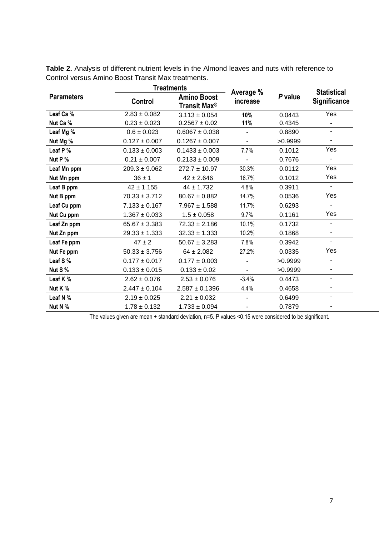|                   | <b>Treatments</b>                                         |                       |                |                     | <b>Statistical</b>       |
|-------------------|-----------------------------------------------------------|-----------------------|----------------|---------------------|--------------------------|
| <b>Parameters</b> | <b>Amino Boost</b><br>Control<br>Transit Max <sup>®</sup> | Average %<br>increase | P value        | <b>Significance</b> |                          |
| Leaf Ca %         | $2.83 \pm 0.082$                                          | $3.113 \pm 0.054$     | 10%            | 0.0443              | Yes                      |
| Nut Ca %          | $0.23 \pm 0.023$                                          | $0.2567 \pm 0.02$     | 11%            | 0.4345              |                          |
| Leaf Mg %         | $0.6 \pm 0.023$                                           | $0.6067 \pm 0.038$    |                | 0.8890              | ۰                        |
| Nut Mg %          | $0.127 \pm 0.007$                                         | $0.1267 \pm 0.007$    | $\blacksquare$ | >0.9999             | ٠                        |
| Leaf P %          | $0.133 \pm 0.003$                                         | $0.1433 \pm 0.003$    | 7.7%           | 0.1012              | Yes                      |
| Nut P %           | $0.21 \pm 0.007$                                          | $0.2133 \pm 0.009$    |                | 0.7676              |                          |
| Leaf Mn ppm       | $209.3 \pm 9.062$                                         | $272.7 \pm 10.97$     | 30.3%          | 0.0112              | Yes                      |
| Nut Mn ppm        | $36 \pm 1$                                                | $42 \pm 2.646$        | 16.7%          | 0.1012              | Yes                      |
| Leaf B ppm        | $42 \pm 1.155$                                            | $44 \pm 1.732$        | 4.8%           | 0.3911              | ÷.                       |
| Nut B ppm         | $70.33 \pm 3.712$                                         | $80.67 \pm 0.882$     | 14.7%          | 0.0536              | Yes                      |
| Leaf Cu ppm       | $7.133 \pm 0.167$                                         | $7.967 \pm 1.588$     | 11.7%          | 0.6293              | $\blacksquare$           |
| Nut Cu ppm        | $1.367 \pm 0.033$                                         | $1.5 \pm 0.058$       | 9.7%           | 0.1161              | Yes                      |
| Leaf Zn ppm       | $65.67 \pm 3.383$                                         | $72.33 \pm 2.186$     | 10.1%          | 0.1732              | $\overline{\phantom{0}}$ |
| Nut Zn ppm        | $29.33 \pm 1.333$                                         | $32.33 \pm 1.333$     | 10.2%          | 0.1868              | -                        |
| Leaf Fe ppm       | $47 \pm 2$                                                | $50.67 \pm 3.283$     | 7.8%           | 0.3942              | ۰                        |
| Nut Fe ppm        | $50.33 \pm 3.756$                                         | $64 \pm 2.082$        | 27.2%          | 0.0335              | Yes                      |
| Leaf S %          | $0.177 \pm 0.017$                                         | $0.177 \pm 0.003$     |                | >0.9999             | $\overline{\phantom{0}}$ |
| Nut S %           | $0.133 \pm 0.015$                                         | $0.133 \pm 0.02$      |                | >0.9999             | $\overline{\phantom{0}}$ |
| Leaf K %          | $2.62 \pm 0.076$                                          | $2.53 \pm 0.076$      | $-3.4%$        | 0.4473              | ۰                        |
| Nut K %           | $2.447 \pm 0.104$                                         | $2.587 \pm 0.1396$    | 4.4%           | 0.4658              | ۰                        |
| Leaf N %          | $2.19 \pm 0.025$                                          | $2.21 \pm 0.032$      |                | 0.6499              | ۰                        |
| Nut N %           | $1.78 \pm 0.132$                                          | $1.733 \pm 0.094$     |                | 0.7879              |                          |

**Table 2.** Analysis of different nutrient levels in the Almond leaves and nuts with reference to Control versus Amino Boost Transit Max treatments.

The values given are mean  $+$  standard deviation, n=5. P values <0.15 were considered to be significant.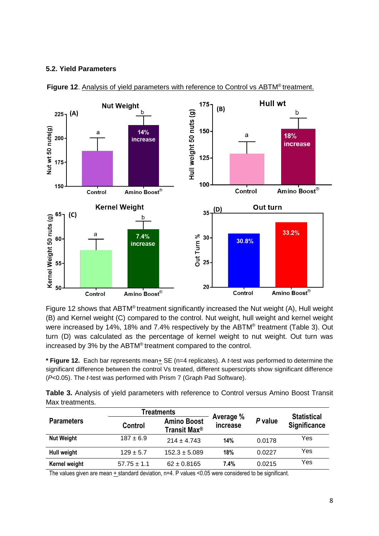#### **5.2. Yield Parameters**



Figure 12. Analysis of yield parameters with reference to Control vs ABTM<sup>®</sup> treatment.

Figure 12 shows that ABTM<sup>®</sup> treatment significantly increased the Nut weight (A), Hull weight (B) and Kernel weight (C) compared to the control. Nut weight, hull weight and kernel weight were increased by 14%, 18% and 7.4% respectively by the ABTM® treatment (Table 3). Out turn (D) was calculated as the percentage of kernel weight to nut weight. Out turn was increased by 3% by the ABTM® treatment compared to the control.

**\* Figure 12.** Each bar represents mean+ SE (n=4 replicates). A *t*-test was performed to determine the significant difference between the control Vs treated, different superscripts show significant difference (*P*<0.05). The *t*-test was performed with Prism 7 (Graph Pad Software).

**Table 3.** Analysis of yield parameters with reference to Control versus Amino Boost Transit Max treatments.

|                   |                 | Treatments                                     |                       |         |                                           |
|-------------------|-----------------|------------------------------------------------|-----------------------|---------|-------------------------------------------|
| <b>Parameters</b> | Control         | <b>Amino Boost</b><br>Transit Max <sup>®</sup> | Average %<br>increase | P value | <b>Statistical</b><br><b>Significance</b> |
| <b>Nut Weight</b> | $187 \pm 6.9$   | $214 + 4.743$                                  | 14%                   | 0.0178  | Yes                                       |
| Hull weight       | $129 \pm 5.7$   | $152.3 \pm 5.089$                              | 18%                   | 0.0227  | Yes                                       |
| Kernel weight     | $57.75 \pm 1.1$ | $62 \pm 0.8165$                                | $7.4\%$               | 0.0215  | Yes                                       |

The values given are mean + standard deviation, n=4. P values <0.05 were considered to be significant.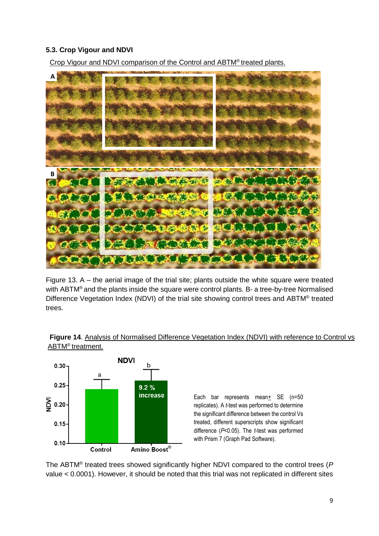#### **5.3. Crop Vigour and NDVI**

Crop Vigour and NDVI comparison of the Control and ABTM® treated plants.



Figure 13. A – the aerial image of the trial site; plants outside the white square were treated with ABTM<sup>®</sup> and the plants inside the square were control plants. B- a tree-by-tree Normalised Difference Vegetation Index (NDVI) of the trial site showing control trees and ABTM® treated trees.





Each bar represents mean+ SE (n=50 replicates). A *t*-test was performed to determine the significant difference between the control Vs treated, different superscripts show significant difference (*P*<0.05). The *t*-test was performed with Prism 7 (Graph Pad Software).

The ABTM® treated trees showed significantly higher NDVI compared to the control trees (*P* value < 0.0001). However, it should be noted that this trial was not replicated in different sites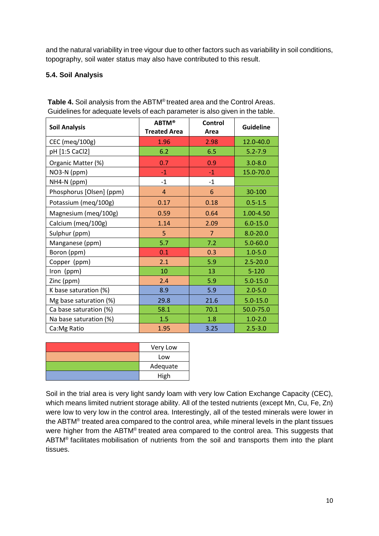and the natural variability in tree vigour due to other factors such as variability in soil conditions, topography, soil water status may also have contributed to this result.

### **5.4. Soil Analysis**

| <b>Soil Analysis</b>     | <b>ABTM®</b><br><b>Treated Area</b> | Control<br>Area | <b>Guideline</b> |
|--------------------------|-------------------------------------|-----------------|------------------|
| CEC (meg/100g)           | 1.96                                | 2.98            | 12.0-40.0        |
| pH [1:5 CaCl2]           | 6.2                                 | 6.5             | $5.2 - 7.9$      |
| Organic Matter (%)       | 0.7                                 | 0.9             | $3.0 - 8.0$      |
| NO3-N (ppm)              | $-1$                                | $-1$            | 15.0-70.0        |
| NH4-N (ppm)              | $-1$                                | $-1$            |                  |
| Phosphorus [Olsen] (ppm) | $\overline{4}$                      | 6               | 30-100           |
| Potassium (meg/100g)     | 0.17                                | 0.18            | $0.5 - 1.5$      |
| Magnesium (meq/100g)     | 0.59                                | 0.64            | 1.00-4.50        |
| Calcium (meq/100g)       | 1.14                                | 2.09            | $6.0 - 15.0$     |
| Sulphur (ppm)            | 5                                   | $\overline{7}$  | $8.0 - 20.0$     |
| Manganese (ppm)          | 5.7                                 | 7.2             | $5.0 - 60.0$     |
| Boron (ppm)              | 0.1                                 | 0.3             | $1.0 - 5.0$      |
| Copper (ppm)             | 2.1                                 | 5.9             | $2.5 - 20.0$     |
| Iron (ppm)               | 10                                  | 13              | $5 - 120$        |
| Zinc (ppm)               | 2.4                                 | 5.9             | $5.0 - 15.0$     |
| K base saturation (%)    | 8.9                                 | 5.9             | $2.0 - 5.0$      |
| Mg base saturation (%)   | 29.8                                | 21.6            | $5.0 - 15.0$     |
| Ca base saturation (%)   | 58.1                                | 70.1            | 50.0-75.0        |
| Na base saturation (%)   | 1.5                                 | 1.8             | $1.0 - 2.0$      |
| Ca: Mg Ratio             | 1.95                                | 3.25            | $2.5 - 3.0$      |

**Table 4.** Soil analysis from the ABTM® treated area and the Control Areas. Guidelines for adequate levels of each parameter is also given in the table.

| Very Low |
|----------|
| Low      |
| Adequate |
| High     |

Soil in the trial area is very light sandy loam with very low Cation Exchange Capacity (CEC), which means limited nutrient storage ability. All of the tested nutrients (except Mn, Cu, Fe, Zn) were low to very low in the control area. Interestingly, all of the tested minerals were lower in the ABTM<sup>®</sup> treated area compared to the control area, while mineral levels in the plant tissues were higher from the ABTM® treated area compared to the control area. This suggests that ABTM<sup>®</sup> facilitates mobilisation of nutrients from the soil and transports them into the plant tissues.